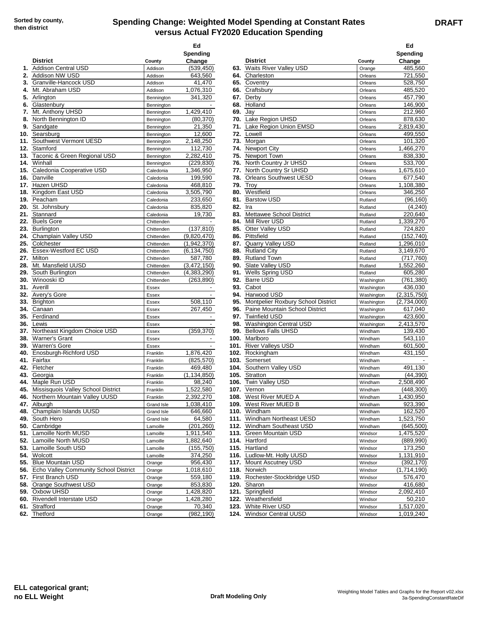## **Spending Change: Weighted Model Spending at Constant Rates versus Actual FY2020 Education Spending**

|    |                                              |                   | Ed<br>Spending           |            |                                                   |                    | Ed<br>Spending         |
|----|----------------------------------------------|-------------------|--------------------------|------------|---------------------------------------------------|--------------------|------------------------|
|    | <b>District</b>                              | County            | Change                   |            | <b>District</b>                                   | County             | Change                 |
|    | 1. Addison Central USD                       | Addison           | (539, 450)               |            | 63. Waits River Valley USD                        | Orange             | 485,560                |
|    | 2. Addison NW USD                            | Addison           | 643,560                  |            | 64. Charleston                                    | Orleans            | 721,550                |
|    | 3. Granville-Hancock USD                     | Addison           | 41,470                   |            | 65. Coventry                                      | Orleans            | 528,750                |
| 4. | Mt. Abraham USD                              | Addison           | 1,076,310                |            | 66. Craftsbury                                    | Orleans            | 485,520                |
|    | 5. Arlington                                 | Bennington        | 341,320                  |            | 67. Derby                                         | Orleans            | 457,790                |
| 6. | Glastenbury<br>Mt. Anthony UHSD              | Bennington        |                          | 68.<br>69. | Holland                                           | Orleans            | 146,900<br>212,960     |
| 7. | 8. North Bennington ID                       | Bennington        | 1,429,410<br>(80, 370)   |            | Jay<br>Lake Region UHSD                           | Orleans            |                        |
|    |                                              | Bennington        |                          | 70.        |                                                   | Orleans            | 878,630                |
|    | 9. Sandgate<br>10. Searsburg                 | Bennington        | 21,350<br>12,600         |            | 71. Lake Region Union EMSD<br>Lowell              | Orleans            | 2,819,430<br>499,550   |
|    | 11. Southwest Vermont UESD                   | Bennington        |                          | 72.<br>73. | Morgan                                            | Orleans            | 101.320                |
|    | 12. Stamford                                 | Bennington        | 2,148,250<br>112,730     |            |                                                   | Orleans            | 1,466,270              |
|    | 13. Taconic & Green Regional USD             | Bennington        | 2,282,410                | 74.        | <b>Newport City</b><br>75. Newport Town           | Orleans            |                        |
|    |                                              | Bennington        |                          |            | 76. North Country Jr UHSD                         | Orleans            | 838,330                |
|    | 14. Winhall<br>15. Caledonia Cooperative USD | Bennington        | (229, 830)<br>1,346,950  |            | 77. North Country Sr UHSD                         | Orleans            | 533,700<br>1,675,610   |
|    | 16. Danville                                 | Caledonia         | 199,590                  | 78.        | <b>Orleans Southwest UESD</b>                     | Orleans            | 677,540                |
|    | 17. Hazen UHSD                               | Caledonia         |                          | 79.        | Troy                                              | Orleans            |                        |
|    | 18. Kingdom East USD                         | Caledonia         | 468,810                  |            | Westfield                                         | Orleans            | 1,108,380<br>346.250   |
|    |                                              | Caledonia         | 3,505,790                | 80.        | <b>Barstow USD</b>                                | Orleans            |                        |
|    | 19. Peacham                                  | Caledonia         | 233,650                  | 81.        |                                                   | Rutland            | (96, 160)              |
|    | 20. St. Johnsbury                            | Caledonia         | 835,820                  | 82.        | Ira                                               | Rutland            | (4,240)                |
|    | 21. Stannard                                 | Caledonia         | 19,730                   | 83.        | Mettawee School District                          | Rutland            | 220,640                |
|    | 22. Buels Gore                               | Chittenden        |                          | 84.        | Mill River USD                                    | Rutland            | 1,339,270<br>724.820   |
|    | 23. Burlington                               | Chittenden        | (137, 810)               | 85.        | Otter Valley USD                                  | Rutland            |                        |
|    | 24. Champlain Valley USD                     | Chittenden        | (9,820,470)              | 86.        | Pittsfield                                        | Rutland            | (152, 740)             |
|    | 25. Colchester                               | Chittenden        | (1,942,370)              | 87.        | <b>Quarry Valley USD</b>                          | Rutland            | 1,296,010              |
|    | 26. Essex-Westford EC USD                    | Chittenden        | (6, 134, 750)            | 88.        | <b>Rutland City</b>                               | Rutland            | 3,149,670              |
|    | 27. Milton                                   | Chittenden        | 587,780                  | 89.        | <b>Rutland Town</b>                               | Rutland            | (717, 760)             |
|    | 28. Mt. Mansfield UUSD                       | Chittenden        | (3,472,150)              | 90.        | Slate Valley USD                                  | Rutland            | 1,552,260              |
|    | 29. South Burlington                         | Chittenden        | (4,383,290)              | 91.        | <b>Wells Spring USD</b>                           | Rutland            | 605,280                |
|    | <b>30.</b> Winooski ID                       | Chittenden        | (263, 890)               | 92.        | <b>Barre USD</b>                                  | Washington         | (761, 380)             |
|    | 31. Averill                                  | Essex             | $\overline{\phantom{a}}$ | 93.        | Cabot                                             | Washington         | 436,030                |
|    | 32. Avery's Gore                             | Essex             | $\overline{\phantom{a}}$ | 94.        | Harwood USD                                       | Washington         | (2,315,750)            |
|    | 33. Brighton                                 | Essex             | 508,110                  | 95.        | Montpelier Roxbury School District                | Washington         | (2,734,000)            |
|    | <b>34.</b> Canaan                            | Essex             | 267,450                  |            | 96. Paine Mountain School District                | Washington         | 617,040                |
|    | 35. Ferdinand                                | Essex             |                          |            | 97. Twinfield USD                                 | Washington         | 423,600                |
|    | 36. Lewis                                    | Essex             |                          | 98.        | Washington Central USD                            | Washington         | 2,413,570              |
|    | 37. Northeast Kingdom Choice USD             | Essex             | (359, 370)               | 99.        | <b>Bellows Falls UHSD</b>                         | Windham            | 139,430                |
|    | 38. Warner's Grant                           | Essex             | $\overline{\phantom{a}}$ |            | 100. Marlboro                                     | Windham            | 543,110                |
|    | 39. Warren's Gore                            | Essex             | $\overline{\phantom{a}}$ |            | 101. River Valleys USD                            | Windham            | 601,500                |
|    | 40. Enosburgh-Richford USD                   | Franklin          | 1,876,420                |            | 102. Rockingham                                   | Windham            | 431,150                |
|    | 41. Fairfax                                  | Franklin          | (825, 570)               |            | 103. Somerset                                     | Windham            |                        |
|    | 42. Fletcher                                 | Franklin          | 469,480                  |            | 104. Southern Valley USD                          | Windham            | 491,130                |
|    | 43. Georgia                                  | Franklin          | (1, 134, 850)            |            | 105. Stratton                                     | Windham            | (44, 390)              |
|    | 44. Maple Run USD                            | Franklin          | 98,240                   |            | 106. Twin Valley USD                              | Windham            | 2,508,490              |
|    | 45. Missisquois Valley School District       | Franklin          | 1,522,580                |            | 107. Vernon                                       | Windham            | (448, 300)             |
|    | 46. Northern Mountain Valley UUSD            | Franklin          | 2,392,270                |            | 108. West River MUED A                            | Windham            | 1,430,950              |
|    | 47. Alburgh                                  | Grand Isle        | 1,038,410                |            | 109. West River MUED B                            | Windham            | 923,390                |
|    | 48. Champlain Islands UUSD                   | <b>Grand Isle</b> | 646,660                  |            | 110. Windham                                      | Windham            | 162,520                |
|    | 49. South Hero                               | Grand Isle        | 64,580                   |            | 111. Windham Northeast UESD                       | Windham            | 1,523,750              |
|    | 50. Cambridge                                | Lamoille          | (201, 260)               |            | 112. Windham Southeast USD                        | Windham            | (645, 500)             |
|    | 51. Lamoille North MUSD                      | Lamoille          | 1,911,540                |            | 113. Green Mountain USD                           | Windsor            | 1,475,520              |
|    | 52. Lamoille North MUSD                      | Lamoille          | 1,882,640                |            | 114. Hartford                                     | Windsor            | (889,990)              |
|    | 53. Lamoille South USD                       | Lamoille          | (155, 750)               |            | 115. Hartland                                     | Windsor            | 173,250                |
|    | 54. Wolcott<br>55. Blue Mountain USD         | Lamoille          | 374,250                  |            | 116. Ludlow-Mt. Holly UUSD                        | Windsor            | 1,131,910              |
|    |                                              | Orange            | 956,430                  |            | 117. Mount Ascutney USD                           | Windsor            | (392, 170)             |
|    | 56. Echo Valley Community School District    | Orange            | 1,018,610                |            | 118. Norwich                                      | Windsor            | (1,714,190)            |
|    | 57. First Branch USD                         | Orange            | 559,180                  |            | 119. Rochester-Stockbridge USD                    | Windsor            | 576,470                |
|    | 58. Orange Southwest USD                     | Orange            | 853,830                  |            | 120. Sharon                                       | Windsor            | 416,680                |
|    |                                              |                   | 1,428,820                |            | 121. Springfield                                  | Windsor            | 2,092,410              |
|    | 59. Oxbow UHSD                               | Orange            |                          |            |                                                   |                    |                        |
|    | 60. Rivendell Interstate USD                 | Orange            | 1,428,280                |            | 122. Weathersfield                                | Windsor            | 50,210                 |
|    | 61. Strafford<br>62. Thetford                | Orange<br>Orange  | 70,340<br>(982, 190)     |            | 123. White River USD<br>124. Windsor Central UUSD | Windsor<br>Windsor | 1,517,020<br>1,019,240 |

| Ed                      |                                                    |                    | Ed                           |
|-------------------------|----------------------------------------------------|--------------------|------------------------------|
| <b>ipending</b>         |                                                    |                    | Spending                     |
| Change                  | <b>District</b>                                    | County             | Change                       |
| (539, 450)              | 63. Waits River Valley USD                         | Orange             | 485,560                      |
| 643,560                 | 64. Charleston                                     | Orleans            | 721,550                      |
| 41,470                  | 65. Coventry                                       | Orleans            | 528,750                      |
| 1,076,310               | 66. Craftsbury                                     | Orleans            | 485,520                      |
| 341,320                 | 67. Derby                                          | Orleans            | 457,790                      |
|                         | 68. Holland                                        | Orleans            | 146,900                      |
| 1,429,410               | 69. Jay                                            | Orleans            | 212,960                      |
| (80, 370)               | 70. Lake Region UHSD                               | Orleans            | 878,630                      |
| 21,350                  | 71. Lake Region Union EMSD                         | Orleans            | 2,819,430                    |
| 12,600                  | 72. Lowell                                         | Orleans            | 499,550                      |
| 2,148,250               | 73. Morgan                                         | Orleans            | 101,320                      |
| 112,730                 | 74. Newport City                                   | Orleans            | 1,466,270                    |
| 2,282,410               | 75. Newport Town                                   | Orleans            | 838,330                      |
| (229, 830)              | 76. North Country Jr UHSD                          | Orleans            | 533,700                      |
| 1,346,950               | 77. North Country Sr UHSD                          | Orleans            | 1,675,610                    |
| 199,590                 | 78. Orleans Southwest UESD                         | Orleans            | 677,540                      |
| 468,810                 | <b>79. Trov</b>                                    | Orleans            | 1,108,380                    |
| $\overline{3,505}$ ,790 | 80. Westfield                                      | Orleans            | 346,250                      |
| 233,650                 | 81. Barstow USD                                    | Rutland            | (96, 160)                    |
| 835,820                 | 82. Ira                                            | Rutland            | (4,240)                      |
| 19,730                  | 83. Mettawee School District<br>84. Mill River USD | Rutland            | 220,640<br>1,339,270         |
| (137, 810)              | 85. Otter Valley USD                               | Rutland<br>Rutland | 724,820                      |
| 9,820,470)              | 86. Pittsfield                                     | Rutland            | (152, 740)                   |
| 1,942,370)              | 87. Quarry Valley USD                              | Rutland            | 1,296,010                    |
| 6,134,750)              | 88. Rutland City                                   | Rutland            | 3,149,670                    |
| 587,780                 | 89. Rutland Town                                   | Rutland            | (717, 760)                   |
| 3,472,150               | 90. Slate Valley USD                               | Rutland            | 1,552,260                    |
| 4,383,290)              | 91. Wells Spring USD                               | Rutland            | 605,280                      |
| (263, 890)              | 92. Barre USD                                      | Washington         | (761, 380)                   |
| ۰                       | 93. Cabot                                          | Washington         | 436,030                      |
| $\blacksquare$          | 94. Harwood USD                                    | Washington         | (2,315,750)                  |
| 508,110                 | 95. Montpelier Roxbury School District             | Washington         | (2,734,000)                  |
| 267,450                 | 96. Paine Mountain School District                 | Washington         | 617,040                      |
| $\overline{a}$          | 97. Twinfield USD                                  | Washington         | 423,600                      |
| $\blacksquare$          | 98. Washington Central USD                         | Washington         | 2,413,570                    |
| (359,370)               | 99. Bellows Falls UHSD                             | Windham            | 139,430                      |
|                         | 100. Marlboro                                      | Windham            | 543,110                      |
|                         | 101. River Valleys USD                             | Windham            | 601,500                      |
| 1,876,420               | 102. Rockingham                                    | Windham            | 431,150                      |
| (825, 570)              | 103. Somerset                                      | Windham            | $\qquad \qquad \blacksquare$ |
| 469.480                 | 104. Southern Valley USD                           | Windham            | 491,130                      |
| 1,134,850)              | 105. Stratton                                      | Windham            | (44, 390)                    |
| 98,240                  | 106. Twin Valley USD                               | Windham            | 2,508,490                    |
| 1,522,580               | 107. Vernon                                        | Windham            | (448,300)                    |
| 2,392,270               | 108. West River MUED A                             | Windham            | 1,430,950                    |
| 1,038,410               | 109. West River MUED B                             | Windham            | 923,390                      |
| 646,660                 | 110. Windham                                       | Windham            | 162,520                      |
| 64,580                  | 111. Windham Northeast UESD                        | Windham            | 1,523,750                    |
| (201, 260)              | 112. Windham Southeast USD                         | Windham            | (645, 500)                   |
| 1,911,540               | 113. Green Mountain USD                            | Windsor            | 1,475,520                    |
| 1,882,640               | 114. Hartford                                      | Windsor            | (889,990)                    |
| (155, 750)              | 115. Hartland                                      | Windsor            | 173,250                      |
| 374,250                 | 116. Ludlow-Mt. Holly UUSD                         | Windsor            | 1,131,910                    |
| 956,430<br>1,018,610    | 117. Mount Ascutney USD<br>118. Norwich            | Windsor            | (392,170)                    |
| 559,180                 | 119. Rochester-Stockbridge USD                     | Windsor            | (1,714,190)<br>576,470       |
| 853,830                 | 120. Sharon                                        | Windsor<br>Windsor | 416,680                      |
| 1,428,820               | 121. Springfield                                   | Windsor            | 2,092,410                    |
| 1,428,280               | <b>122.</b> Weathersfield                          | Windsor            | 50,210                       |
| 70,340                  | <b>123.</b> White River USD                        | Windsor            | 1,517,020                    |
| (982, 190)              | 124. Windsor Central UUSD                          | Windsor            | 1,019,240                    |
|                         |                                                    |                    |                              |